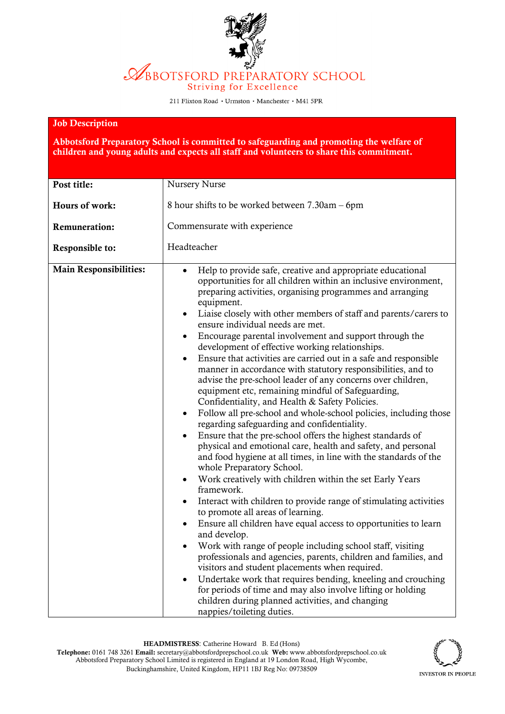ABBOTSFORD PREPARATORY SCHOOL **Striving for Excellence** 

211 Flixton Road · Urmston · Manchester · M41 5PR

## Job Description

Abbotsford Preparatory School is committed to safeguarding and promoting the welfare of children and young adults and expects all staff and volunteers to share this commitment.

| Post title:                   | Nursery Nurse                                                                                                                                                                                                                                                                                                                                                                                                                                                                                                                                                                                                                                                                                                                                                                                                                                                                                                                                                                                                                                                                                                                                                                                                                                                                                                                                                                                                                                                                                                                                                                                                                                                                                                                                                                                                                                                                    |  |  |
|-------------------------------|----------------------------------------------------------------------------------------------------------------------------------------------------------------------------------------------------------------------------------------------------------------------------------------------------------------------------------------------------------------------------------------------------------------------------------------------------------------------------------------------------------------------------------------------------------------------------------------------------------------------------------------------------------------------------------------------------------------------------------------------------------------------------------------------------------------------------------------------------------------------------------------------------------------------------------------------------------------------------------------------------------------------------------------------------------------------------------------------------------------------------------------------------------------------------------------------------------------------------------------------------------------------------------------------------------------------------------------------------------------------------------------------------------------------------------------------------------------------------------------------------------------------------------------------------------------------------------------------------------------------------------------------------------------------------------------------------------------------------------------------------------------------------------------------------------------------------------------------------------------------------------|--|--|
| Hours of work:                | 8 hour shifts to be worked between 7.30am – 6pm                                                                                                                                                                                                                                                                                                                                                                                                                                                                                                                                                                                                                                                                                                                                                                                                                                                                                                                                                                                                                                                                                                                                                                                                                                                                                                                                                                                                                                                                                                                                                                                                                                                                                                                                                                                                                                  |  |  |
| <b>Remuneration:</b>          | Commensurate with experience                                                                                                                                                                                                                                                                                                                                                                                                                                                                                                                                                                                                                                                                                                                                                                                                                                                                                                                                                                                                                                                                                                                                                                                                                                                                                                                                                                                                                                                                                                                                                                                                                                                                                                                                                                                                                                                     |  |  |
| Responsible to:               | Headteacher                                                                                                                                                                                                                                                                                                                                                                                                                                                                                                                                                                                                                                                                                                                                                                                                                                                                                                                                                                                                                                                                                                                                                                                                                                                                                                                                                                                                                                                                                                                                                                                                                                                                                                                                                                                                                                                                      |  |  |
| <b>Main Responsibilities:</b> | Help to provide safe, creative and appropriate educational<br>opportunities for all children within an inclusive environment,<br>preparing activities, organising programmes and arranging<br>equipment.<br>Liaise closely with other members of staff and parents/carers to<br>$\bullet$<br>ensure individual needs are met.<br>Encourage parental involvement and support through the<br>٠<br>development of effective working relationships.<br>Ensure that activities are carried out in a safe and responsible<br>$\bullet$<br>manner in accordance with statutory responsibilities, and to<br>advise the pre-school leader of any concerns over children,<br>equipment etc, remaining mindful of Safeguarding,<br>Confidentiality, and Health & Safety Policies.<br>Follow all pre-school and whole-school policies, including those<br>$\bullet$<br>regarding safeguarding and confidentiality.<br>Ensure that the pre-school offers the highest standards of<br>$\bullet$<br>physical and emotional care, health and safety, and personal<br>and food hygiene at all times, in line with the standards of the<br>whole Preparatory School.<br>Work creatively with children within the set Early Years<br>$\bullet$<br>framework.<br>Interact with children to provide range of stimulating activities<br>$\bullet$<br>to promote all areas of learning.<br>Ensure all children have equal access to opportunities to learn<br>$\bullet$<br>and develop.<br>Work with range of people including school staff, visiting<br>professionals and agencies, parents, children and families, and<br>visitors and student placements when required.<br>Undertake work that requires bending, kneeling and crouching<br>$\bullet$<br>for periods of time and may also involve lifting or holding<br>children during planned activities, and changing<br>nappies/toileting duties. |  |  |

HEADMISTRESS: Catherine Howard B. Ed (Hons) Telephone: 0161 748 3261 Email: secretary@abbotsfordprepschool.co.uk Web: www.abbotsfordprepschool.co.uk Abbotsford Preparatory School Limited is registered in England at 19 London Road, High Wycombe, Buckinghamshire, United Kingdom, HP11 1BJ Reg No: 09738509

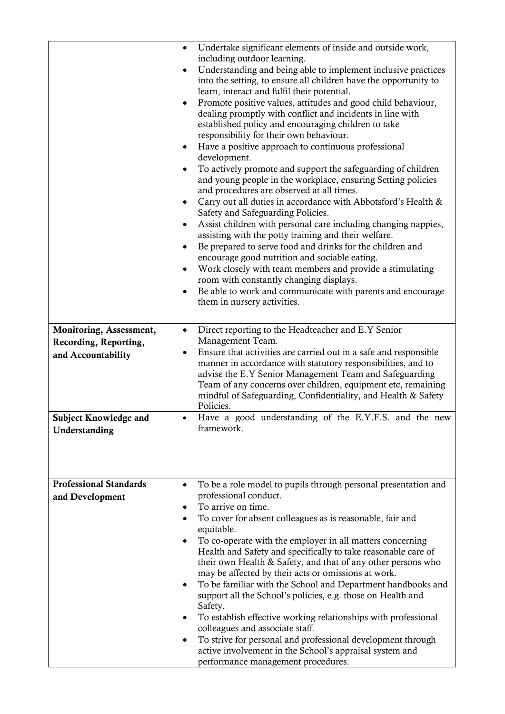|                               | Undertake significant elements of inside and outside work,<br>including outdoor learning.                                                                                                                                                                                                                                                                                                                                                                                                                                                                                                                                                                                                                                                                                                                                                                                                                                                                                                                                                                             |
|-------------------------------|-----------------------------------------------------------------------------------------------------------------------------------------------------------------------------------------------------------------------------------------------------------------------------------------------------------------------------------------------------------------------------------------------------------------------------------------------------------------------------------------------------------------------------------------------------------------------------------------------------------------------------------------------------------------------------------------------------------------------------------------------------------------------------------------------------------------------------------------------------------------------------------------------------------------------------------------------------------------------------------------------------------------------------------------------------------------------|
|                               | Understanding and being able to implement inclusive practices<br>$\bullet$<br>into the setting, to ensure all children have the opportunity to<br>learn, interact and fulfil their potential.                                                                                                                                                                                                                                                                                                                                                                                                                                                                                                                                                                                                                                                                                                                                                                                                                                                                         |
|                               | Promote positive values, attitudes and good child behaviour,<br>dealing promptly with conflict and incidents in line with<br>established policy and encouraging children to take<br>responsibility for their own behaviour.<br>Have a positive approach to continuous professional<br>$\bullet$<br>development.<br>To actively promote and support the safeguarding of children<br>and young people in the workplace, ensuring Setting policies<br>and procedures are observed at all times.<br>Carry out all duties in accordance with Abbotsford's Health &<br>$\bullet$<br>Safety and Safeguarding Policies.<br>Assist children with personal care including changing nappies,<br>٠<br>assisting with the potty training and their welfare.<br>Be prepared to serve food and drinks for the children and<br>٠<br>encourage good nutrition and sociable eating.<br>Work closely with team members and provide a stimulating<br>room with constantly changing displays.<br>Be able to work and communicate with parents and encourage<br>them in nursery activities. |
| Monitoring, Assessment,       | Direct reporting to the Headteacher and E.Y Senior<br>$\bullet$                                                                                                                                                                                                                                                                                                                                                                                                                                                                                                                                                                                                                                                                                                                                                                                                                                                                                                                                                                                                       |
| Recording, Reporting,         | Management Team.                                                                                                                                                                                                                                                                                                                                                                                                                                                                                                                                                                                                                                                                                                                                                                                                                                                                                                                                                                                                                                                      |
| and Accountability            | Ensure that activities are carried out in a safe and responsible<br>$\bullet$<br>manner in accordance with statutory responsibilities, and to<br>advise the E.Y Senior Management Team and Safeguarding<br>Team of any concerns over children, equipment etc, remaining<br>mindful of Safeguarding, Confidentiality, and Health & Safety<br>Policies.                                                                                                                                                                                                                                                                                                                                                                                                                                                                                                                                                                                                                                                                                                                 |
| <b>Subject Knowledge and</b>  | Have a good understanding of the E.Y.F.S. and the new<br>framework.                                                                                                                                                                                                                                                                                                                                                                                                                                                                                                                                                                                                                                                                                                                                                                                                                                                                                                                                                                                                   |
| Understanding                 |                                                                                                                                                                                                                                                                                                                                                                                                                                                                                                                                                                                                                                                                                                                                                                                                                                                                                                                                                                                                                                                                       |
| <b>Professional Standards</b> | To be a role model to pupils through personal presentation and<br>$\bullet$                                                                                                                                                                                                                                                                                                                                                                                                                                                                                                                                                                                                                                                                                                                                                                                                                                                                                                                                                                                           |
| and Development               | professional conduct.<br>To arrive on time.<br>٠                                                                                                                                                                                                                                                                                                                                                                                                                                                                                                                                                                                                                                                                                                                                                                                                                                                                                                                                                                                                                      |
|                               | To cover for absent colleagues as is reasonable, fair and<br>٠                                                                                                                                                                                                                                                                                                                                                                                                                                                                                                                                                                                                                                                                                                                                                                                                                                                                                                                                                                                                        |
|                               | equitable.                                                                                                                                                                                                                                                                                                                                                                                                                                                                                                                                                                                                                                                                                                                                                                                                                                                                                                                                                                                                                                                            |
|                               | To co-operate with the employer in all matters concerning<br>Health and Safety and specifically to take reasonable care of                                                                                                                                                                                                                                                                                                                                                                                                                                                                                                                                                                                                                                                                                                                                                                                                                                                                                                                                            |
|                               | their own Health & Safety, and that of any other persons who                                                                                                                                                                                                                                                                                                                                                                                                                                                                                                                                                                                                                                                                                                                                                                                                                                                                                                                                                                                                          |
|                               | may be affected by their acts or omissions at work.                                                                                                                                                                                                                                                                                                                                                                                                                                                                                                                                                                                                                                                                                                                                                                                                                                                                                                                                                                                                                   |
|                               | To be familiar with the School and Department handbooks and<br>$\bullet$<br>support all the School's policies, e.g. those on Health and<br>Safety.                                                                                                                                                                                                                                                                                                                                                                                                                                                                                                                                                                                                                                                                                                                                                                                                                                                                                                                    |
|                               | To establish effective working relationships with professional<br>colleagues and associate staff.                                                                                                                                                                                                                                                                                                                                                                                                                                                                                                                                                                                                                                                                                                                                                                                                                                                                                                                                                                     |
|                               | To strive for personal and professional development through<br>$\bullet$                                                                                                                                                                                                                                                                                                                                                                                                                                                                                                                                                                                                                                                                                                                                                                                                                                                                                                                                                                                              |
|                               | active involvement in the School's appraisal system and<br>performance management procedures.                                                                                                                                                                                                                                                                                                                                                                                                                                                                                                                                                                                                                                                                                                                                                                                                                                                                                                                                                                         |
|                               |                                                                                                                                                                                                                                                                                                                                                                                                                                                                                                                                                                                                                                                                                                                                                                                                                                                                                                                                                                                                                                                                       |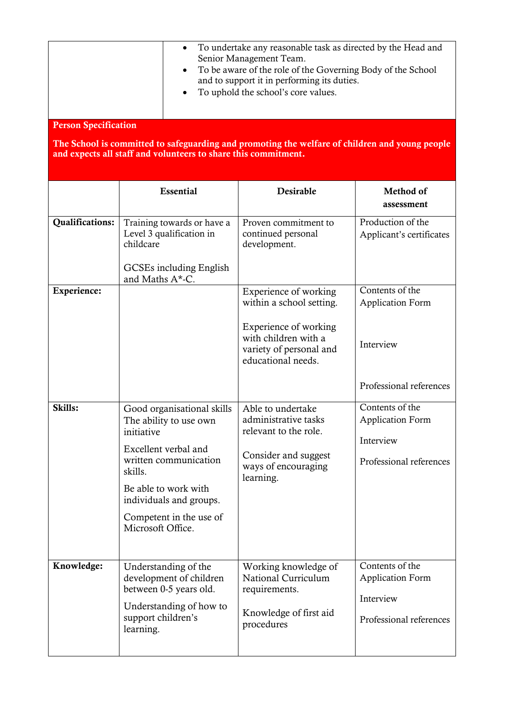|                                                                                                                                                                                                 | $\bullet$<br>$\bullet$                                                                                                                                                                                                            | To undertake any reasonable task as directed by the Head and<br>Senior Management Team.<br>To be aware of the role of the Governing Body of the School<br>and to support it in performing its duties.<br>To uphold the school's core values. |                                                                                    |  |  |  |  |
|-------------------------------------------------------------------------------------------------------------------------------------------------------------------------------------------------|-----------------------------------------------------------------------------------------------------------------------------------------------------------------------------------------------------------------------------------|----------------------------------------------------------------------------------------------------------------------------------------------------------------------------------------------------------------------------------------------|------------------------------------------------------------------------------------|--|--|--|--|
| <b>Person Specification</b><br>The School is committed to safeguarding and promoting the welfare of children and young people<br>and expects all staff and volunteers to share this commitment. |                                                                                                                                                                                                                                   |                                                                                                                                                                                                                                              |                                                                                    |  |  |  |  |
|                                                                                                                                                                                                 | <b>Essential</b>                                                                                                                                                                                                                  | Desirable                                                                                                                                                                                                                                    | Method of<br>assessment                                                            |  |  |  |  |
| <b>Qualifications:</b>                                                                                                                                                                          | Training towards or have a<br>Level 3 qualification in<br>childcare<br>GCSEs including English<br>and Maths A*-C.                                                                                                                 | Proven commitment to<br>continued personal<br>development.                                                                                                                                                                                   | Production of the<br>Applicant's certificates                                      |  |  |  |  |
| Experience:                                                                                                                                                                                     |                                                                                                                                                                                                                                   | Experience of working<br>within a school setting.<br>Experience of working<br>with children with a<br>variety of personal and<br>educational needs.                                                                                          | Contents of the<br><b>Application Form</b><br>Interview<br>Professional references |  |  |  |  |
| Skills:                                                                                                                                                                                         | Good organisational skills<br>The ability to use own<br>initiative<br>Excellent verbal and<br>written communication<br>skills.<br>Be able to work with<br>individuals and groups.<br>Competent in the use of<br>Microsoft Office. | Able to undertake<br>administrative tasks<br>relevant to the role.<br>Consider and suggest<br>ways of encouraging<br>learning.                                                                                                               | Contents of the<br><b>Application Form</b><br>Interview<br>Professional references |  |  |  |  |
| Knowledge:                                                                                                                                                                                      | Understanding of the<br>development of children<br>between 0-5 years old.<br>Understanding of how to<br>support children's<br>learning.                                                                                           | Working knowledge of<br>National Curriculum<br>requirements.<br>Knowledge of first aid<br>procedures                                                                                                                                         | Contents of the<br><b>Application Form</b><br>Interview<br>Professional references |  |  |  |  |